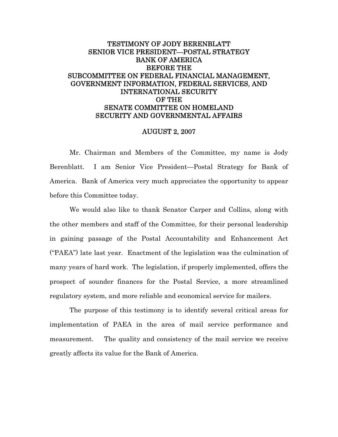# TESTIMONY OF JODY BERENBLATT SENIOR VICE PRESIDENT—POSTAL STRATEGY BANK OF AMERICA BEFORE THE SUBCOMMITTEE ON FEDERAL FINANCIAL MANAGEMENT, GOVERNMENT INFORMATION, FEDERAL SERVICES, AND INTERNATIONAL SECURITY OF THE SENATE COMMITTEE ON HOMELAND SECURITY AND GOVERNMENTAL AFFAIRS

#### AUGUST 2, 2007

Mr. Chairman and Members of the Committee, my name is Jody Berenblatt. I am Senior Vice President—Postal Strategy for Bank of America. Bank of America very much appreciates the opportunity to appear before this Committee today.

We would also like to thank Senator Carper and Collins, along with the other members and staff of the Committee, for their personal leadership in gaining passage of the Postal Accountability and Enhancement Act ("PAEA") late last year. Enactment of the legislation was the culmination of many years of hard work. The legislation, if properly implemented, offers the prospect of sounder finances for the Postal Service, a more streamlined regulatory system, and more reliable and economical service for mailers.

The purpose of this testimony is to identify several critical areas for implementation of PAEA in the area of mail service performance and measurement. The quality and consistency of the mail service we receive greatly affects its value for the Bank of America.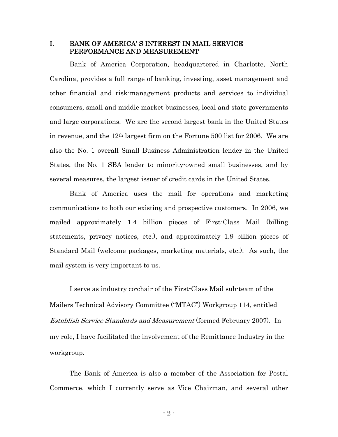### I. BANK OF AMERICA' S INTEREST IN MAIL SERVICE PERFORMANCE AND MEASUREMENT

Bank of America Corporation, headquartered in Charlotte, North Carolina, provides a full range of banking, investing, asset management and other financial and risk-management products and services to individual consumers, small and middle market businesses, local and state governments and large corporations. We are the second largest bank in the United States in revenue, and the 12th largest firm on the Fortune 500 list for 2006. We are also the No. 1 overall Small Business Administration lender in the United States, the No. 1 SBA lender to minority-owned small businesses, and by several measures, the largest issuer of credit cards in the United States.

Bank of America uses the mail for operations and marketing communications to both our existing and prospective customers. In 2006, we mailed approximately 1.4 billion pieces of First-Class Mail (billing statements, privacy notices, etc.), and approximately 1.9 billion pieces of Standard Mail (welcome packages, marketing materials, etc.). As such, the mail system is very important to us.

 I serve as industry co-chair of the First-Class Mail sub-team of the Mailers Technical Advisory Committee ("MTAC") Workgroup 114, entitled Establish Service Standards and Measurement (formed February 2007). In my role, I have facilitated the involvement of the Remittance Industry in the workgroup.

The Bank of America is also a member of the Association for Postal Commerce, which I currently serve as Vice Chairman, and several other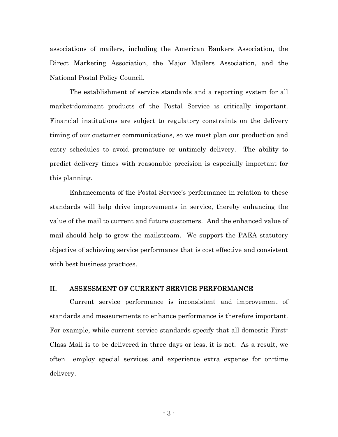associations of mailers, including the American Bankers Association, the Direct Marketing Association, the Major Mailers Association, and the National Postal Policy Council.

The establishment of service standards and a reporting system for all market-dominant products of the Postal Service is critically important. Financial institutions are subject to regulatory constraints on the delivery timing of our customer communications, so we must plan our production and entry schedules to avoid premature or untimely delivery. The ability to predict delivery times with reasonable precision is especially important for this planning.

Enhancements of the Postal Service's performance in relation to these standards will help drive improvements in service, thereby enhancing the value of the mail to current and future customers. And the enhanced value of mail should help to grow the mailstream. We support the PAEA statutory objective of achieving service performance that is cost effective and consistent with best business practices.

### II. ASSESSMENT OF CURRENT SERVICE PERFORMANCE

Current service performance is inconsistent and improvement of standards and measurements to enhance performance is therefore important. For example, while current service standards specify that all domestic First-Class Mail is to be delivered in three days or less, it is not. As a result, we often employ special services and experience extra expense for on-time delivery.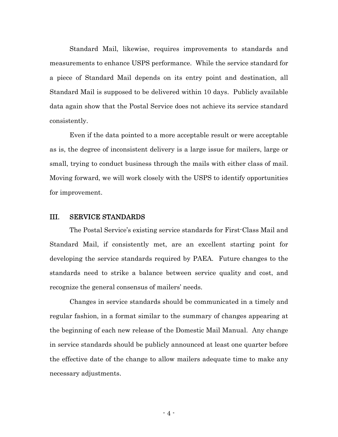Standard Mail, likewise, requires improvements to standards and measurements to enhance USPS performance. While the service standard for a piece of Standard Mail depends on its entry point and destination, all Standard Mail is supposed to be delivered within 10 days. Publicly available data again show that the Postal Service does not achieve its service standard consistently.

Even if the data pointed to a more acceptable result or were acceptable as is, the degree of inconsistent delivery is a large issue for mailers, large or small, trying to conduct business through the mails with either class of mail. Moving forward, we will work closely with the USPS to identify opportunities for improvement.

### III. SERVICE STANDARDS

The Postal Service's existing service standards for First-Class Mail and Standard Mail, if consistently met, are an excellent starting point for developing the service standards required by PAEA. Future changes to the standards need to strike a balance between service quality and cost, and recognize the general consensus of mailers' needs.

Changes in service standards should be communicated in a timely and regular fashion, in a format similar to the summary of changes appearing at the beginning of each new release of the Domestic Mail Manual. Any change in service standards should be publicly announced at least one quarter before the effective date of the change to allow mailers adequate time to make any necessary adjustments.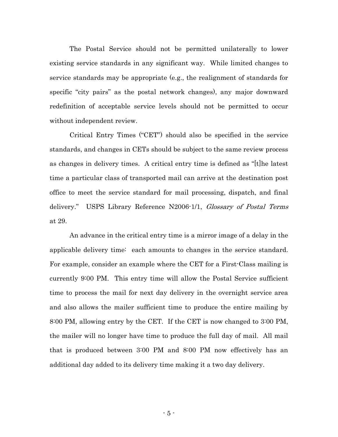The Postal Service should not be permitted unilaterally to lower existing service standards in any significant way. While limited changes to service standards may be appropriate (e.g., the realignment of standards for specific "city pairs" as the postal network changes), any major downward redefinition of acceptable service levels should not be permitted to occur without independent review.

Critical Entry Times ("CET") should also be specified in the service standards, and changes in CETs should be subject to the same review process as changes in delivery times. A critical entry time is defined as "[t]he latest time a particular class of transported mail can arrive at the destination post office to meet the service standard for mail processing, dispatch, and final delivery." USPS Library Reference N2006-1/1, *Glossary of Postal Terms* at 29.

An advance in the critical entry time is a mirror image of a delay in the applicable delivery time: each amounts to changes in the service standard. For example, consider an example where the CET for a First-Class mailing is currently 9:00 PM. This entry time will allow the Postal Service sufficient time to process the mail for next day delivery in the overnight service area and also allows the mailer sufficient time to produce the entire mailing by 8:00 PM, allowing entry by the CET. If the CET is now changed to 3:00 PM, the mailer will no longer have time to produce the full day of mail. All mail that is produced between 3:00 PM and 8:00 PM now effectively has an additional day added to its delivery time making it a two day delivery.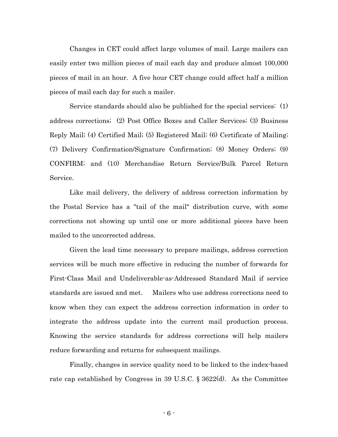Changes in CET could affect large volumes of mail. Large mailers can easily enter two million pieces of mail each day and produce almost 100,000 pieces of mail in an hour. A five hour CET change could affect half a million pieces of mail each day for such a mailer.

Service standards should also be published for the special services: (1) address corrections; (2) Post Office Boxes and Caller Services; (3) Business Reply Mail; (4) Certified Mail; (5) Registered Mail; (6) Certificate of Mailing; (7) Delivery Confirmation/Signature Confirmation; (8) Money Orders; (9) CONFIRM; and (10) Merchandise Return Service/Bulk Parcel Return Service.

Like mail delivery, the delivery of address correction information by the Postal Service has a "tail of the mail" distribution curve, with some corrections not showing up until one or more additional pieces have been mailed to the uncorrected address.

Given the lead time necessary to prepare mailings, address correction services will be much more effective in reducing the number of forwards for First-Class Mail and Undeliverable-as-Addressed Standard Mail if service standards are issued and met. Mailers who use address corrections need to know when they can expect the address correction information in order to integrate the address update into the current mail production process. Knowing the service standards for address corrections will help mailers reduce forwarding and returns for subsequent mailings.

Finally, changes in service quality need to be linked to the index-based rate cap established by Congress in 39 U.S.C. § 3622(d). As the Committee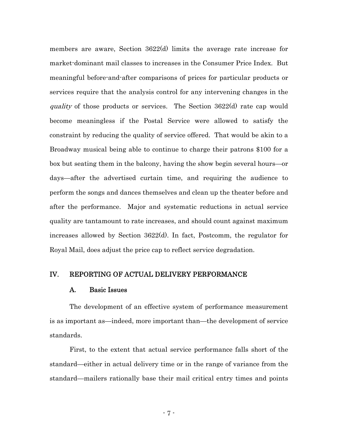members are aware, Section 3622(d) limits the average rate increase for market-dominant mail classes to increases in the Consumer Price Index. But meaningful before-and-after comparisons of prices for particular products or services require that the analysis control for any intervening changes in the quality of those products or services. The Section 3622(d) rate cap would become meaningless if the Postal Service were allowed to satisfy the constraint by reducing the quality of service offered. That would be akin to a Broadway musical being able to continue to charge their patrons \$100 for a box but seating them in the balcony, having the show begin several hours—or days—after the advertised curtain time, and requiring the audience to perform the songs and dances themselves and clean up the theater before and after the performance. Major and systematic reductions in actual service quality are tantamount to rate increases, and should count against maximum increases allowed by Section 3622(d). In fact, Postcomm, the regulator for Royal Mail, does adjust the price cap to reflect service degradation.

## IV. REPORTING OF ACTUAL DELIVERY PERFORMANCE

### A. Basic Issues

The development of an effective system of performance measurement is as important as—indeed, more important than—the development of service standards.

First, to the extent that actual service performance falls short of the standard—either in actual delivery time or in the range of variance from the standard—mailers rationally base their mail critical entry times and points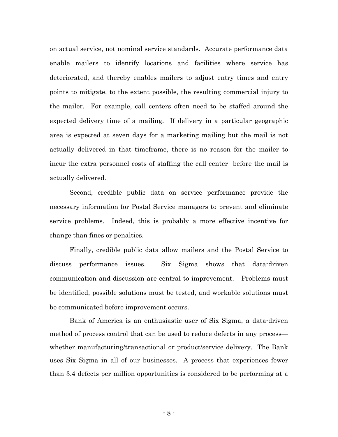on actual service, not nominal service standards. Accurate performance data enable mailers to identify locations and facilities where service has deteriorated, and thereby enables mailers to adjust entry times and entry points to mitigate, to the extent possible, the resulting commercial injury to the mailer. For example, call centers often need to be staffed around the expected delivery time of a mailing. If delivery in a particular geographic area is expected at seven days for a marketing mailing but the mail is not actually delivered in that timeframe, there is no reason for the mailer to incur the extra personnel costs of staffing the call center before the mail is actually delivered.

Second, credible public data on service performance provide the necessary information for Postal Service managers to prevent and eliminate service problems. Indeed, this is probably a more effective incentive for change than fines or penalties.

Finally, credible public data allow mailers and the Postal Service to discuss performance issues. Six Sigma shows that data-driven communication and discussion are central to improvement. Problems must be identified, possible solutions must be tested, and workable solutions must be communicated before improvement occurs.

Bank of America is an enthusiastic user of Six Sigma, a data-driven method of process control that can be used to reduce defects in any process whether manufacturing/transactional or product/service delivery. The Bank uses Six Sigma in all of our businesses. A process that experiences fewer than 3.4 defects per million opportunities is considered to be performing at a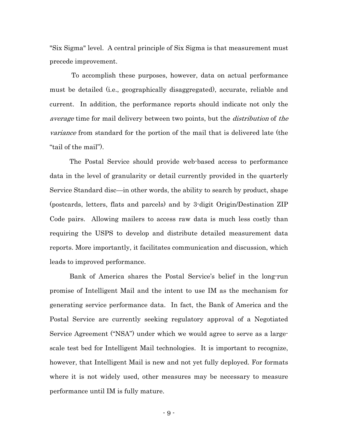"Six Sigma" level. A central principle of Six Sigma is that measurement must precede improvement.

 To accomplish these purposes, however, data on actual performance must be detailed (i.e., geographically disaggregated), accurate, reliable and current. In addition, the performance reports should indicate not only the average time for mail delivery between two points, but the distribution of the variance from standard for the portion of the mail that is delivered late (the "tail of the mail").

The Postal Service should provide web-based access to performance data in the level of granularity or detail currently provided in the quarterly Service Standard disc—in other words, the ability to search by product, shape (postcards, letters, flats and parcels) and by 3-digit Origin/Destination ZIP Code pairs. Allowing mailers to access raw data is much less costly than requiring the USPS to develop and distribute detailed measurement data reports. More importantly, it facilitates communication and discussion, which leads to improved performance.

Bank of America shares the Postal Service's belief in the long-run promise of Intelligent Mail and the intent to use IM as the mechanism for generating service performance data. In fact, the Bank of America and the Postal Service are currently seeking regulatory approval of a Negotiated Service Agreement ("NSA") under which we would agree to serve as a largescale test bed for Intelligent Mail technologies. It is important to recognize, however, that Intelligent Mail is new and not yet fully deployed. For formats where it is not widely used, other measures may be necessary to measure performance until IM is fully mature.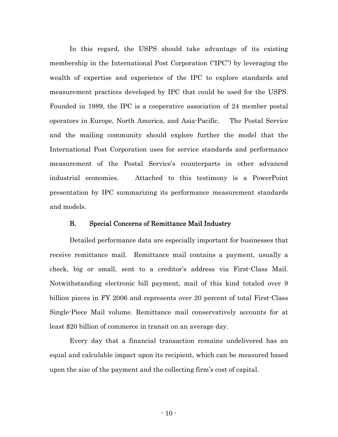In this regard, the USPS should take advantage of its existing membership in the International Post Corporation ("IPC") by leveraging the wealth of expertise and experience of the IPC to explore standards and measurement practices developed by IPC that could be used for the USPS. Founded in 1989, the IPC is a cooperative association of 24 member postal operators in Europe, North America, and Asia-Pacific. The Postal Service and the mailing community should explore further the model that the International Post Corporation uses for service standards and performance measurement of the Postal Service's counterparts in other advanced industrial economies. Attached to this testimony is a PowerPoint presentation by IPC summarizing its performance measurement standards and models.

#### B. Special Concerns of Remittance Mail Industry

Detailed performance data are especially important for businesses that receive remittance mail. Remittance mail contains a payment, usually a check, big or small, sent to a creditor's address via First-Class Mail. Notwithstanding electronic bill payment, mail of this kind totaled over 9 billion pieces in FY 2006 and represents over 20 percent of total First-Class Single-Piece Mail volume. Remittance mail conservatively accounts for at least \$20 billion of commerce in transit on an average day.

Every day that a financial transaction remains undelivered has an equal and calculable impact upon its recipient, which can be measured based upon the size of the payment and the collecting firm's cost of capital.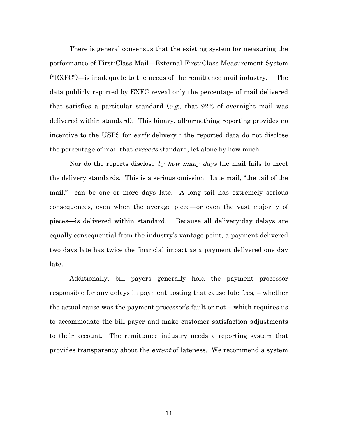There is general consensus that the existing system for measuring the performance of First-Class Mail—External First-Class Measurement System ("EXFC")—is inadequate to the needs of the remittance mail industry. The data publicly reported by EXFC reveal only the percentage of mail delivered that satisfies a particular standard  $(e.g., that 92\%$  of overnight mail was delivered within standard). This binary, all-or-nothing reporting provides no incentive to the USPS for *early* delivery  $\cdot$  the reported data do not disclose the percentage of mail that *exceeds* standard, let alone by how much.

Nor do the reports disclose by how many days the mail fails to meet the delivery standards. This is a serious omission. Late mail, "the tail of the mail," can be one or more days late. A long tail has extremely serious consequences, even when the average piece—or even the vast majority of pieces—is delivered within standard. Because all delivery-day delays are equally consequential from the industry's vantage point, a payment delivered two days late has twice the financial impact as a payment delivered one day late.

Additionally, bill payers generally hold the payment processor responsible for any delays in payment posting that cause late fees, – whether the actual cause was the payment processor's fault or not – which requires us to accommodate the bill payer and make customer satisfaction adjustments to their account. The remittance industry needs a reporting system that provides transparency about the *extent* of lateness. We recommend a system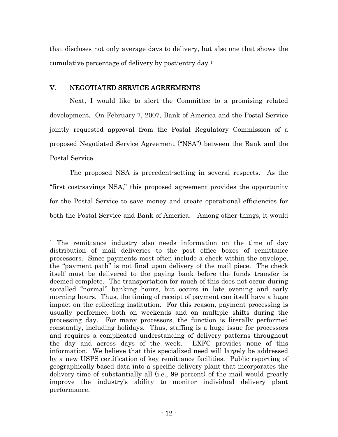that discloses not only average days to delivery, but also one that shows the cumulative percentage of delivery by post-entry day.[1](#page-11-0)

## V. NEGOTIATED SERVICE AGREEMENTS

 $\overline{a}$ 

Next, I would like to alert the Committee to a promising related development. On February 7, 2007, Bank of America and the Postal Service jointly requested approval from the Postal Regulatory Commission of a proposed Negotiated Service Agreement ("NSA") between the Bank and the Postal Service.

The proposed NSA is precedent-setting in several respects. As the "first cost-savings NSA," this proposed agreement provides the opportunity for the Postal Service to save money and create operational efficiencies for both the Postal Service and Bank of America. Among other things, it would

<span id="page-11-0"></span><sup>&</sup>lt;sup>1</sup> The remittance industry also needs information on the time of day distribution of mail deliveries to the post office boxes of remittance processors. Since payments most often include a check within the envelope, the "payment path" is not final upon delivery of the mail piece. The check itself must be delivered to the paying bank before the funds transfer is deemed complete. The transportation for much of this does not occur during so-called "normal" banking hours, but occurs in late evening and early morning hours. Thus, the timing of receipt of payment can itself have a huge impact on the collecting institution. For this reason, payment processing is usually performed both on weekends and on multiple shifts during the processing day. For many processors, the function is literally performed constantly, including holidays. Thus, staffing is a huge issue for processors and requires a complicated understanding of delivery patterns throughout the day and across days of the week. EXFC provides none of this information. We believe that this specialized need will largely be addressed by a new USPS certification of key remittance facilities. Public reporting of geographically based data into a specific delivery plant that incorporates the delivery time of substantially all (i.e., 99 percent) of the mail would greatly improve the industry's ability to monitor individual delivery plant performance.